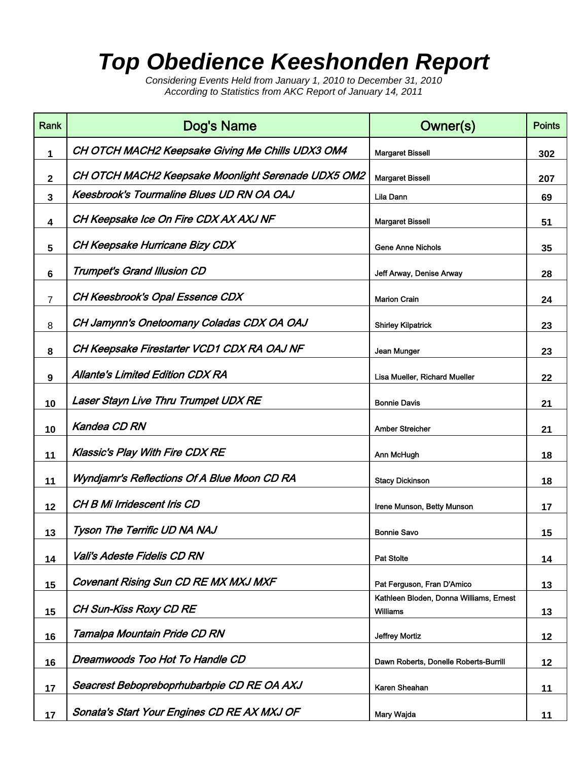## *Top Obedience Keeshonden Report*

*Considering Events Held from January 1, 2010 to December 31, 2010 According to Statistics from AKC Report of January 14, 2011*

| Rank           | Dog's Name                                                 | Owner(s)                                                   | <b>Points</b> |
|----------------|------------------------------------------------------------|------------------------------------------------------------|---------------|
| 1              | CH OTCH MACH2 Keepsake Giving Me Chills UDX3 OM4           | <b>Margaret Bissell</b>                                    | 302           |
| $\mathbf{2}$   | CH OTCH MACH2 Keepsake Moonlight Serenade UDX5 OM2         | <b>Margaret Bissell</b>                                    | 207           |
| 3              | <b>Keesbrook's Tourmaline Blues UD RN OA OAJ</b>           | Lila Dann                                                  | 69            |
| 4              | CH Keepsake Ice On Fire CDX AX AXJ NF                      | <b>Margaret Bissell</b>                                    | 51            |
| 5              | CH Keepsake Hurricane Bizy CDX<br><b>Gene Anne Nichols</b> |                                                            | 35            |
| 6              | <b>Trumpet's Grand Illusion CD</b>                         | Jeff Arway, Denise Arway                                   |               |
| $\overline{7}$ | <b>CH Keesbrook's Opal Essence CDX</b>                     | <b>Marion Crain</b>                                        | 24            |
| 8              | CH Jamynn's Onetoomany Coladas CDX OA OAJ                  | <b>Shirley Kilpatrick</b>                                  |               |
| 8              | CH Keepsake Firestarter VCD1 CDX RA OAJ NF                 | Jean Munger                                                | 23            |
| 9              | <b>Allante's Limited Edition CDX RA</b>                    | Lisa Mueller, Richard Mueller                              | 22            |
| 10             | Laser Stayn Live Thru Trumpet UDX RE                       | <b>Bonnie Davis</b>                                        | 21            |
| 10             | <b>Kandea CD RN</b>                                        | <b>Amber Streicher</b>                                     | 21            |
| 11             | <b>Klassic's Play With Fire CDX RE</b>                     | Ann McHugh                                                 | 18            |
| 11             | Wyndjamr's Reflections Of A Blue Moon CD RA                | <b>Stacy Dickinson</b>                                     | 18            |
| 12             | <b>CH B Mi Irridescent Iris CD</b>                         | Irene Munson, Betty Munson                                 | 17            |
| 13             | Tyson The Terrific UD NA NAJ                               | <b>Bonnie Savo</b>                                         | 15            |
| 14             | Vali's Adeste Fidelis CD RN                                | <b>Pat Stolte</b>                                          | 14            |
| 15             | <b>Covenant Rising Sun CD RE MX MXJ MXF</b>                | Pat Ferguson, Fran D'Amico                                 | 13            |
| 15             | <b>CH Sun-Kiss Roxy CD RE</b>                              | Kathleen Bloden, Donna Williams, Ernest<br><b>Williams</b> | 13            |
| 16             | Tamalpa Mountain Pride CD RN                               | <b>Jeffrey Mortiz</b>                                      | 12            |
| 16             | Dreamwoods Too Hot To Handle CD                            | Dawn Roberts, Donelle Roberts-Burrill                      | 12            |
| 17             | Seacrest Bebopreboprhubarbpie CD RE OA AXJ                 | Karen Sheahan                                              | 11            |
| 17             | Sonata's Start Your Engines CD RE AX MXJ OF                | Mary Wajda                                                 | 11            |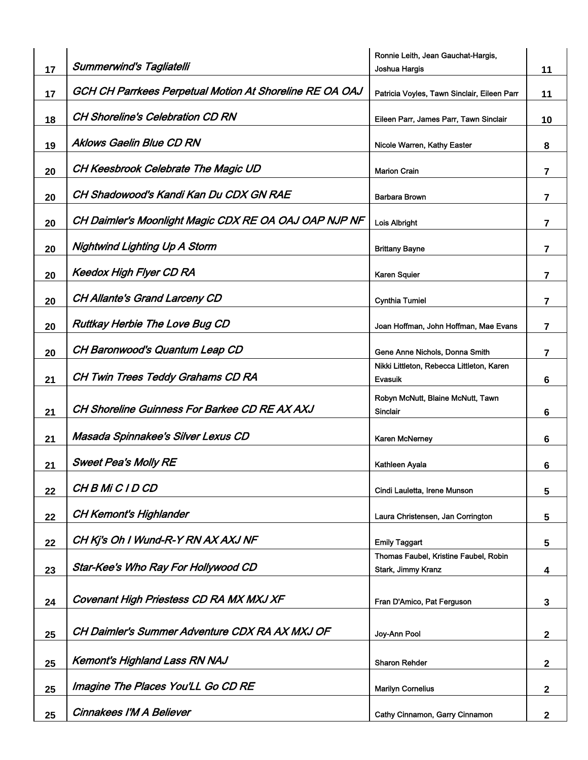|    |                                                         | Ronnie Leith, Jean Gauchat-Hargis,                          |                |
|----|---------------------------------------------------------|-------------------------------------------------------------|----------------|
| 17 | <b>Summerwind's Tagliatelli</b>                         | Joshua Hargis                                               | 11             |
| 17 | GCH CH Parrkees Perpetual Motion At Shoreline RE OA OAJ | Patricia Voyles, Tawn Sinclair, Eileen Parr                 | 11             |
| 18 | <b>CH Shoreline's Celebration CD RN</b>                 | Eileen Parr, James Parr, Tawn Sinclair                      | 10             |
| 19 | <b>Aklows Gaelin Blue CD RN</b>                         | Nicole Warren, Kathy Easter                                 | 8              |
| 20 | CH Keesbrook Celebrate The Magic UD                     | <b>Marion Crain</b>                                         | $\overline{7}$ |
| 20 | CH Shadowood's Kandi Kan Du CDX GN RAE                  | <b>Barbara Brown</b>                                        | $\overline{7}$ |
| 20 | CH Daimler's Moonlight Magic CDX RE OA OAJ OAP NJP NF   | Lois Albright                                               | $\overline{7}$ |
| 20 | <b>Nightwind Lighting Up A Storm</b>                    | <b>Brittany Bayne</b>                                       | 7              |
| 20 | Keedox High Flyer CD RA                                 | <b>Karen Squier</b>                                         | $\overline{7}$ |
| 20 | <b>CH Allante's Grand Larceny CD</b>                    | <b>Cynthia Tumiel</b>                                       | $\overline{7}$ |
| 20 | <b>Ruttkay Herbie The Love Bug CD</b>                   | Joan Hoffman, John Hoffman, Mae Evans                       | 7              |
| 20 | CH Baronwood's Quantum Leap CD                          | Gene Anne Nichols, Donna Smith                              | 7              |
| 21 | CH Twin Trees Teddy Grahams CD RA                       | Nikki Littleton, Rebecca Littleton, Karen<br>Evasuik        | 6              |
| 21 | <b>CH Shoreline Guinness For Barkee CD RE AX AXJ</b>    | Robyn McNutt, Blaine McNutt, Tawn<br><b>Sinclair</b>        | 6              |
| 21 | Masada Spinnakee's Silver Lexus CD                      | <b>Karen McNerney</b>                                       | 6              |
| 21 | <b>Sweet Pea's Molly RE</b>                             | Kathleen Ayala                                              | 6              |
| 22 | CH B Mi C I D CD                                        | Cindi Lauletta, Irene Munson                                | 5              |
| 22 | <b>CH Kemont's Highlander</b>                           | Laura Christensen, Jan Corrington                           | 5              |
| 22 | CH Kj's Oh I Wund-R-Y RN AX AXJ NF                      | <b>Emily Taggart</b>                                        | 5              |
| 23 | Star-Kee's Who Ray For Hollywood CD                     | Thomas Faubel, Kristine Faubel, Robin<br>Stark, Jimmy Kranz | 4              |
|    |                                                         |                                                             |                |
| 24 | Covenant High Priestess CD RA MX MXJ XF                 | Fran D'Amico, Pat Ferguson                                  | 3              |
| 25 | CH Daimler's Summer Adventure CDX RA AX MXJ OF          | Joy-Ann Pool                                                | $\mathbf{2}$   |
| 25 | <b>Kemont's Highland Lass RN NAJ</b>                    | Sharon Rehder                                               | $\mathbf 2$    |
| 25 | Imagine The Places You'LL Go CD RE                      | <b>Marilyn Cornelius</b>                                    | $\mathbf{2}$   |
| 25 | <b>Cinnakees I'M A Believer</b>                         | Cathy Cinnamon, Garry Cinnamon                              | $\mathbf{2}$   |